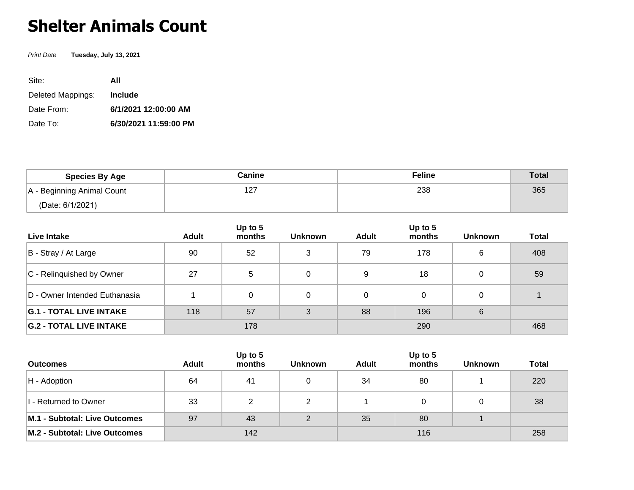## **Shelter Animals Count**

Print Date **Tuesday, July 13, 2021**

| Site:             | All                   |
|-------------------|-----------------------|
| Deleted Mappings: | <b>Include</b>        |
| Date From:        | 6/1/2021 12:00:00 AM  |
| Date To:          | 6/30/2021 11:59:00 PM |

| <b>Species By Age</b>      | Canine | <b>Feline</b> | <b>Total</b> |
|----------------------------|--------|---------------|--------------|
| A - Beginning Animal Count | 127    | 238           | 365          |
| (Date: 6/1/2021)           |        |               |              |

| Live Intake                    | <b>Adult</b> | Up to 5<br>months | <b>Unknown</b> | Adult | Up to 5<br>months | <b>Unknown</b> | <b>Total</b> |
|--------------------------------|--------------|-------------------|----------------|-------|-------------------|----------------|--------------|
| B - Stray / At Large           | 90           | 52                | 3              | 79    | 178               | 6              | 408          |
| C - Relinquished by Owner      | 27           | 5                 | 0              | 9     | 18                |                | 59           |
| D - Owner Intended Euthanasia  |              | 0                 | $\Omega$       | 0     |                   |                |              |
| <b>G.1 - TOTAL LIVE INTAKE</b> | 118          | 57                | 3              | 88    | 196               | 6              |              |
| <b>G.2 - TOTAL LIVE INTAKE</b> | 178          |                   |                | 290   |                   |                | 468          |

| <b>Outcomes</b>               | Adult | Up to 5<br>months | <b>Unknown</b> | <b>Adult</b> | Up to $5$<br>months | <b>Unknown</b> | <b>Total</b> |
|-------------------------------|-------|-------------------|----------------|--------------|---------------------|----------------|--------------|
| $H -$ Adoption                | 64    | 41                |                | 34           | 80                  |                | 220          |
| I - Returned to Owner         | 33    | າ                 | ົ              |              |                     |                | 38           |
| M.1 - Subtotal: Live Outcomes | 97    | 43                | $\mathcal{D}$  | 35           | 80                  |                |              |
| M.2 - Subtotal: Live Outcomes | 142   |                   |                |              | 258                 |                |              |